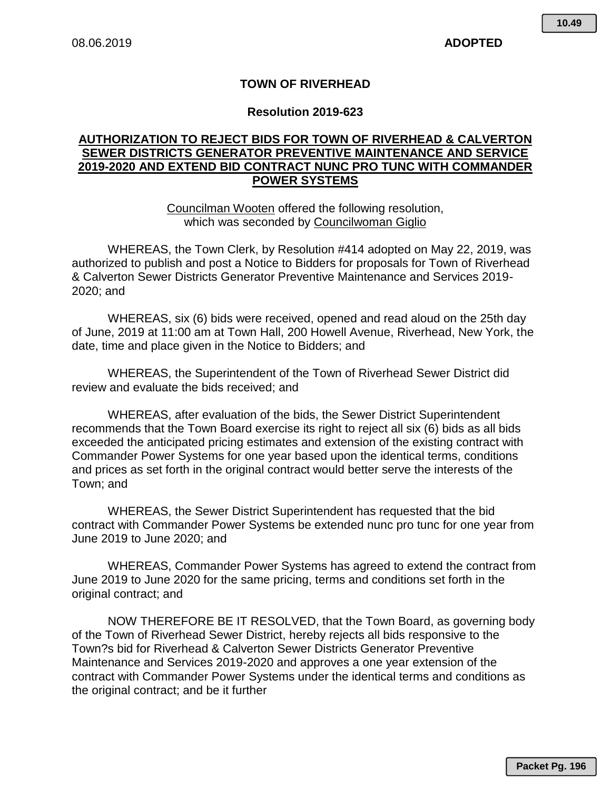## **TOWN OF RIVERHEAD**

## **Resolution 2019-623**

## **AUTHORIZATION TO REJECT BIDS FOR TOWN OF RIVERHEAD & CALVERTON SEWER DISTRICTS GENERATOR PREVENTIVE MAINTENANCE AND SERVICE 2019-2020 AND EXTEND BID CONTRACT NUNC PRO TUNC WITH COMMANDER POWER SYSTEMS**

Councilman Wooten offered the following resolution, which was seconded by Councilwoman Giglio

WHEREAS, the Town Clerk, by Resolution #414 adopted on May 22, 2019, was authorized to publish and post a Notice to Bidders for proposals for Town of Riverhead & Calverton Sewer Districts Generator Preventive Maintenance and Services 2019- 2020; and

WHEREAS, six (6) bids were received, opened and read aloud on the 25th day of June, 2019 at 11:00 am at Town Hall, 200 Howell Avenue, Riverhead, New York, the date, time and place given in the Notice to Bidders; and

WHEREAS, the Superintendent of the Town of Riverhead Sewer District did review and evaluate the bids received; and

WHEREAS, after evaluation of the bids, the Sewer District Superintendent recommends that the Town Board exercise its right to reject all six (6) bids as all bids exceeded the anticipated pricing estimates and extension of the existing contract with Commander Power Systems for one year based upon the identical terms, conditions and prices as set forth in the original contract would better serve the interests of the Town; and

WHEREAS, the Sewer District Superintendent has requested that the bid contract with Commander Power Systems be extended nunc pro tunc for one year from June 2019 to June 2020; and

WHEREAS, Commander Power Systems has agreed to extend the contract from June 2019 to June 2020 for the same pricing, terms and conditions set forth in the original contract; and

NOW THEREFORE BE IT RESOLVED, that the Town Board, as governing body of the Town of Riverhead Sewer District, hereby rejects all bids responsive to the Town?s bid for Riverhead & Calverton Sewer Districts Generator Preventive Maintenance and Services 2019-2020 and approves a one year extension of the contract with Commander Power Systems under the identical terms and conditions as the original contract; and be it further